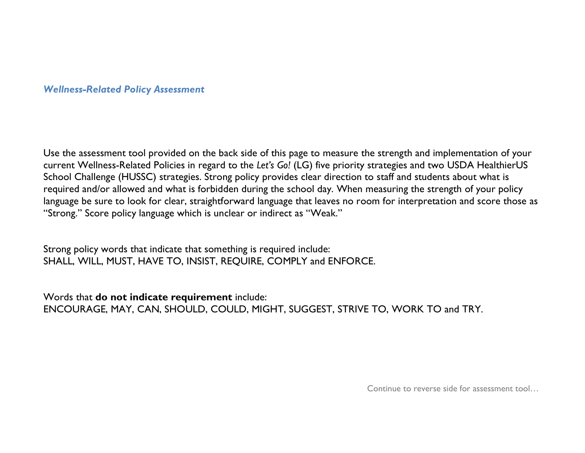## *Wellness-Related Policy Assessment*

Use the assessment tool provided on the back side of this page to measure the strength and implementation of your current Wellness-Related Policies in regard to the *Let's Go!* (LG) five priority strategies and two USDA HealthierUS School Challenge (HUSSC) strategies. Strong policy provides clear direction to staff and students about what is required and/or allowed and what is forbidden during the school day. When measuring the strength of your policy language be sure to look for clear, straightforward language that leaves no room for interpretation and score those as "Strong." Score policy language which is unclear or indirect as "Weak."

Strong policy words that indicate that something is required include: SHALL, WILL, MUST, HAVE TO, INSIST, REQUIRE, COMPLY and ENFORCE.

Words that **do not indicate requirement** include: ENCOURAGE, MAY, CAN, SHOULD, COULD, MIGHT, SUGGEST, STRIVE TO, WORK TO and TRY.

Continue to reverse side for assessment tool…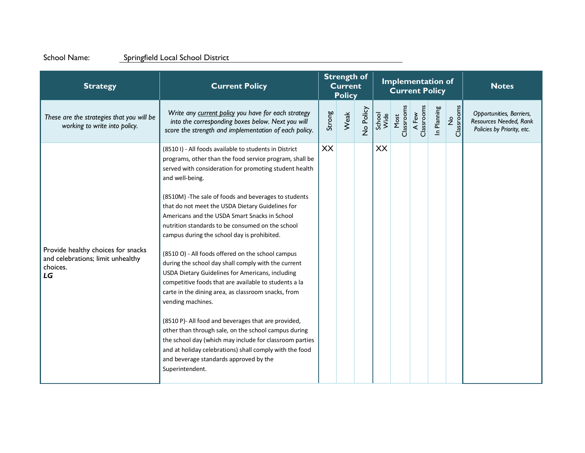## School Name: Springfield Local School District

| <b>Strategy</b>                                                                           | <b>Current Policy</b>                                                                                                                                                                                                                                                                                                                                                                                                                                                                                                                                                                               | <b>Strength of</b><br><b>Current</b><br><b>Policy</b> |      |           |                |                    | <b>Implementation of</b><br><b>Current Policy</b> |             | <b>Notes</b>     |                                                                                  |
|-------------------------------------------------------------------------------------------|-----------------------------------------------------------------------------------------------------------------------------------------------------------------------------------------------------------------------------------------------------------------------------------------------------------------------------------------------------------------------------------------------------------------------------------------------------------------------------------------------------------------------------------------------------------------------------------------------------|-------------------------------------------------------|------|-----------|----------------|--------------------|---------------------------------------------------|-------------|------------------|----------------------------------------------------------------------------------|
| These are the strategies that you will be<br>working to write into policy.                | Write any current policy you have for each strategy<br>into the corresponding boxes below. Next you will<br>score the strength and implementation of each policy.                                                                                                                                                                                                                                                                                                                                                                                                                                   | Strong                                                | Weak | No Policy | School<br>Wide | Most<br>Classrooms | A Few<br>Classrooms                               | In Planning | No<br>Classrooms | Opportunities, Barriers,<br>Resources Needed, Rank<br>Policies by Priority, etc. |
|                                                                                           | (8510 I) - All foods available to students in District<br>programs, other than the food service program, shall be<br>served with consideration for promoting student health<br>and well-being.<br>(8510M) - The sale of foods and beverages to students<br>that do not meet the USDA Dietary Guidelines for<br>Americans and the USDA Smart Snacks in School<br>nutrition standards to be consumed on the school<br>campus during the school day is prohibited.                                                                                                                                     | XX                                                    |      |           | XX             |                    |                                                   |             |                  |                                                                                  |
| Provide healthy choices for snacks<br>and celebrations; limit unhealthy<br>choices.<br>LG | (8510 O) - All foods offered on the school campus<br>during the school day shall comply with the current<br>USDA Dietary Guidelines for Americans, including<br>competitive foods that are available to students a la<br>carte in the dining area, as classroom snacks, from<br>vending machines.<br>(8510 P)- All food and beverages that are provided,<br>other than through sale, on the school campus during<br>the school day (which may include for classroom parties<br>and at holiday celebrations) shall comply with the food<br>and beverage standards approved by the<br>Superintendent. |                                                       |      |           |                |                    |                                                   |             |                  |                                                                                  |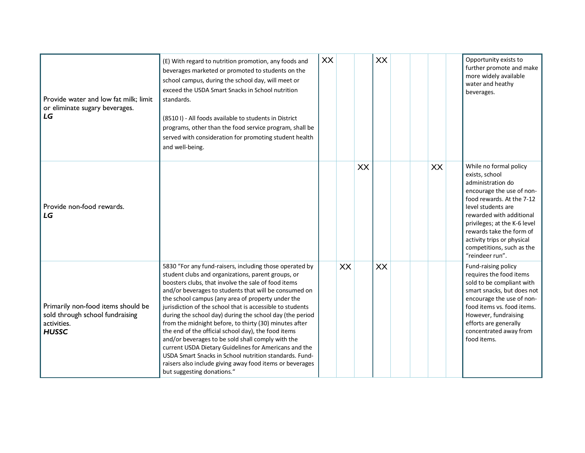| Provide water and low fat milk; limit<br>or eliminate sugary beverages.<br>LG                        | (E) With regard to nutrition promotion, any foods and<br>beverages marketed or promoted to students on the<br>school campus, during the school day, will meet or<br>exceed the USDA Smart Snacks in School nutrition<br>standards.<br>(8510 I) - All foods available to students in District<br>programs, other than the food service program, shall be<br>served with consideration for promoting student health<br>and well-being.                                                                                                                                                                                                                                                                                                                                                           | <b>XX</b> |    |    | XX |    | Opportunity exists to<br>further promote and make<br>more widely available<br>water and heathy<br>beverages.                                                                                                                                                                                                        |
|------------------------------------------------------------------------------------------------------|------------------------------------------------------------------------------------------------------------------------------------------------------------------------------------------------------------------------------------------------------------------------------------------------------------------------------------------------------------------------------------------------------------------------------------------------------------------------------------------------------------------------------------------------------------------------------------------------------------------------------------------------------------------------------------------------------------------------------------------------------------------------------------------------|-----------|----|----|----|----|---------------------------------------------------------------------------------------------------------------------------------------------------------------------------------------------------------------------------------------------------------------------------------------------------------------------|
| Provide non-food rewards.<br>LG                                                                      |                                                                                                                                                                                                                                                                                                                                                                                                                                                                                                                                                                                                                                                                                                                                                                                                |           |    | XX |    | XX | While no formal policy<br>exists, school<br>administration do<br>encourage the use of non-<br>food rewards. At the 7-12<br>level students are<br>rewarded with additional<br>privileges; at the K-6 level<br>rewards take the form of<br>activity trips or physical<br>competitions, such as the<br>"reindeer run". |
| Primarily non-food items should be<br>sold through school fundraising<br>activities.<br><b>HUSSC</b> | 5830 "For any fund-raisers, including those operated by<br>student clubs and organizations, parent groups, or<br>boosters clubs, that involve the sale of food items<br>and/or beverages to students that will be consumed on<br>the school campus (any area of property under the<br>jurisdiction of the school that is accessible to students<br>during the school day) during the school day (the period<br>from the midnight before, to thirty (30) minutes after<br>the end of the official school day), the food items<br>and/or beverages to be sold shall comply with the<br>current USDA Dietary Guidelines for Americans and the<br>USDA Smart Snacks in School nutrition standards. Fund-<br>raisers also include giving away food items or beverages<br>but suggesting donations." |           | XX |    | XX |    | Fund-raising policy<br>requires the food items<br>sold to be compliant with<br>smart snacks, but does not<br>encourage the use of non-<br>food items vs. food items.<br>However, fundraising<br>efforts are generally<br>concentrated away from<br>food items.                                                      |